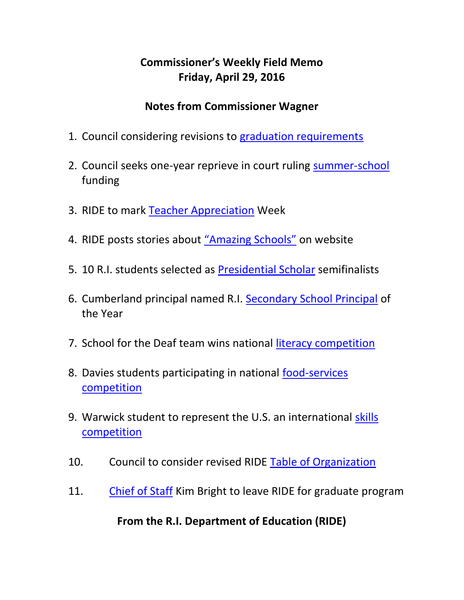## **Commissioner's Weekly Field Memo Friday, April 29, 2016**

#### **Notes from Commissioner Wagner**

- 1. Council considering revisions to [graduation requirements](#page-3-0)
- 2. Council seeks one-year reprieve in court ruling [summer-school](#page-6-0) funding
- 3. RIDE to mark [Teacher Appreciation](#page-3-0) Week
- 4. RIDE posts stories about ["Amazing Schools"](#page-7-0) on website
- 5. 10 R.I. students selected as [Presidential Scholar](#page-7-0) semifinalists
- 6. Cumberland principal named R.I. [Secondary School Principal](#page-8-0) of the Year
- 7. School for the Deaf team wins national [literacy competition](#page-9-0)
- 8. Davies students participating in national [food-services](#page-9-0)  [competition](#page-9-0)
- 9. Warwick student to represent the U.S. an international [skills](#page-9-1)  [competition](#page-9-1)
- 10. Council to consider revised RIDE [Table of Organization](#page-6-1)
- 11. [Chief of Staff](#page-11-0) Kim Bright to leave RIDE for graduate program

**From the R.I. Department of Education (RIDE)**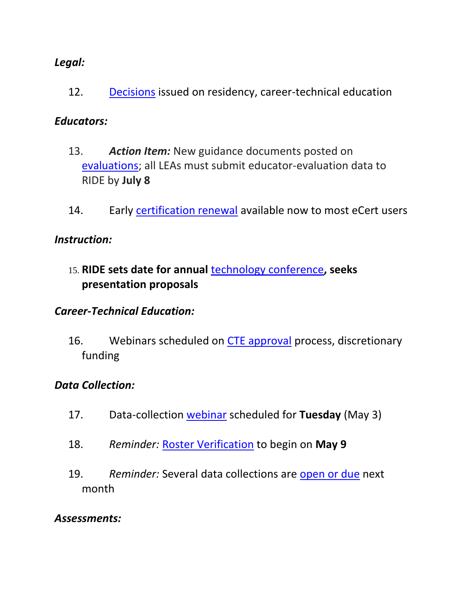#### *Legal:*

12. [Decisions](#page-11-1) issued on residency, career-technical education

#### *Educators:*

- 13. *Action Item:* New guidance documents posted on [evaluations;](#page-12-0) all LEAs must submit educator-evaluation data to RIDE by **July 8**
- 14. Early [certification renewal](#page-12-0) available now to most eCert users

#### *Instruction:*

15. **RIDE sets date for annual** [technology conference](#page-14-0)**, seeks presentation proposals**

#### *Career-Technical Education:*

16. Webinars scheduled on [CTE approval](#page-15-0) process, discretionary funding

#### *Data Collection:*

- 17. Data-collection [webinar](#page-16-0) scheduled for **Tuesday** (May 3)
- 18. *Reminder:* [Roster Verification](#page-16-1) to begin on **May 9**
- 19. *Reminder:* Several data collections are [open or due](#page-17-0) next month

#### *Assessments:*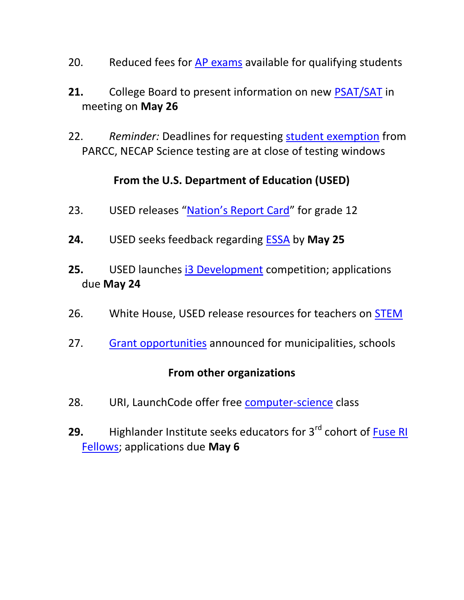- 20. Reduced fees for [AP exams](#page-18-0) available for qualifying students
- **21.** College Board to present information on new [PSAT/SAT](#page-19-0) in meeting on **May 26**
- 22. *Reminder:* Deadlines for requesting [student exemption](#page-19-1) from PARCC, NECAP Science testing are at close of testing windows

### **From the U.S. Department of Education (USED)**

- 23. USED releases ["Nation's Report Card"](#page-20-0) for grade 12
- **24.** USED seeks feedback regarding [ESSA](#page-20-0) by **May 25**
- **25.** USED launches [i3 Development](#page-22-0) competition; applications due **May 24**
- 26. White House, USED release resources for teachers on **STEM**
- 27. [Grant opportunities](#page-23-1) announced for municipalities, schools

#### **From other organizations**

- 28. URI, LaunchCode offer free [computer-science](#page-24-0) class
- **29.** Highlander Institute seeks educators for 3<sup>rd</sup> cohort of Fuse RI [Fellows;](#page-25-0) applications due **May 6**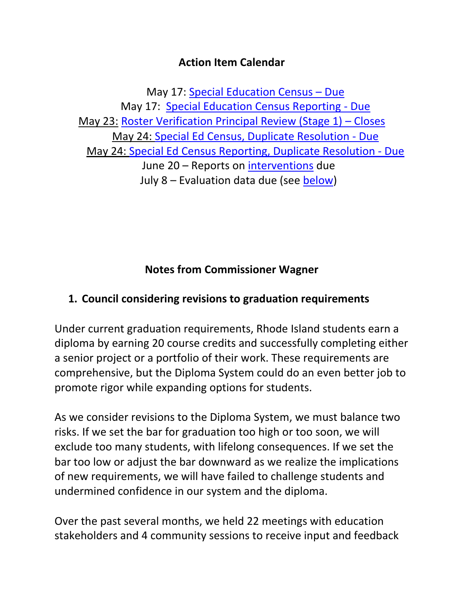#### **Action Item Calendar**

May 17: [Special Education Census](https://www.eride.ri.gov/eRide40/DataDictionary/ViewDetails.aspx?ID=311) – Due May 17: [Special Education Census Reporting -](https://www.eride.ri.gov/eRide40/DataDictionary/ViewDetails.aspx?ID=310) Due May 23: [Roster Verification Principal Review \(Stage 1\)](http://www.ride.ri.gov/TeachersAdministrators/EducatorEvaluation/EducatorPerformanceandSupportSystem(EPSS).aspx) – Closes May 24: [Special Ed Census, Duplicate Resolution -](https://www.eride.ri.gov/eRide40/DataDictionary/ViewDetails.aspx?ID=310) Due May 24: [Special Ed Census Reporting, Duplicate Resolution -](https://www.eride.ri.gov/eRide40/DataDictionary/ViewDetails.aspx?ID=311) Due June 20 – Reports on [interventions](http://ride.ri.gov/Portals/0/Uploads/Documents/FieldMemos/031816-FM.pdf) due July 8 – Evaluation data due (see [below\)](#page-12-0)

# **Notes from Commissioner Wagner**

## <span id="page-3-0"></span>**1. Council considering revisions to graduation requirements**

Under current graduation requirements, Rhode Island students earn a diploma by earning 20 course credits and successfully completing either a senior project or a portfolio of their work. These requirements are comprehensive, but the Diploma System could do an even better job to promote rigor while expanding options for students.

As we consider revisions to the Diploma System, we must balance two risks. If we set the bar for graduation too high or too soon, we will exclude too many students, with lifelong consequences. If we set the bar too low or adjust the bar downward as we realize the implications of new requirements, we will have failed to challenge students and undermined confidence in our system and the diploma.

Over the past several months, we held 22 meetings with education stakeholders and 4 community sessions to receive input and feedback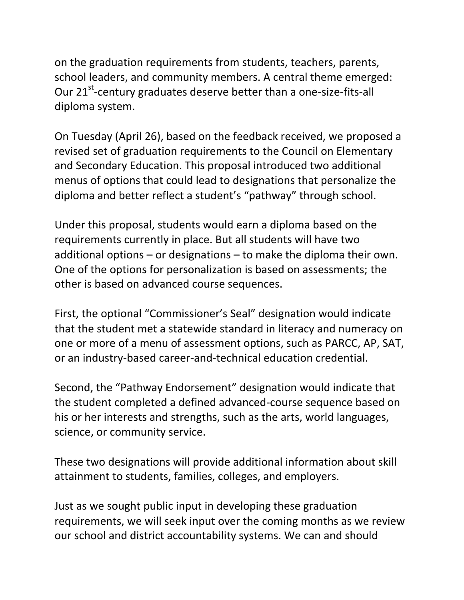on the graduation requirements from students, teachers, parents, school leaders, and community members. A central theme emerged: Our 21<sup>st</sup>-century graduates deserve better than a one-size-fits-all diploma system.

On Tuesday (April 26), based on the feedback received, we proposed a revised set of graduation requirements to the Council on Elementary and Secondary Education. This proposal introduced two additional menus of options that could lead to designations that personalize the diploma and better reflect a student's "pathway" through school.

Under this proposal, students would earn a diploma based on the requirements currently in place. But all students will have two additional options – or designations – to make the diploma their own. One of the options for personalization is based on assessments; the other is based on advanced course sequences.

First, the optional "Commissioner's Seal" designation would indicate that the student met a statewide standard in literacy and numeracy on one or more of a menu of assessment options, such as PARCC, AP, SAT, or an industry-based career-and-technical education credential.

Second, the "Pathway Endorsement" designation would indicate that the student completed a defined advanced-course sequence based on his or her interests and strengths, such as the arts, world languages, science, or community service.

These two designations will provide additional information about skill attainment to students, families, colleges, and employers.

Just as we sought public input in developing these graduation requirements, we will seek input over the coming months as we review our school and district accountability systems. We can and should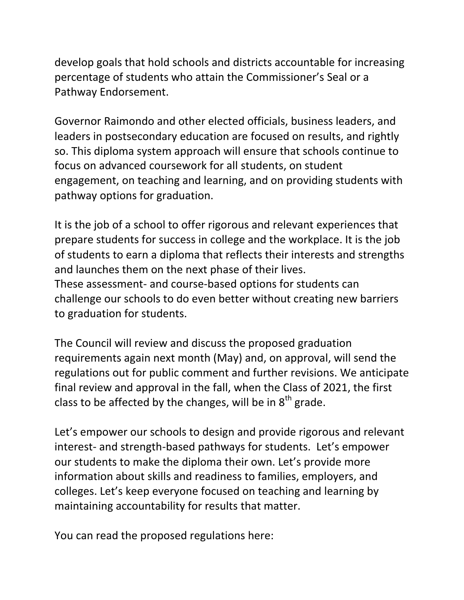develop goals that hold schools and districts accountable for increasing percentage of students who attain the Commissioner's Seal or a Pathway Endorsement.

Governor Raimondo and other elected officials, business leaders, and leaders in postsecondary education are focused on results, and rightly so. This diploma system approach will ensure that schools continue to focus on advanced coursework for all students, on student engagement, on teaching and learning, and on providing students with pathway options for graduation.

It is the job of a school to offer rigorous and relevant experiences that prepare students for success in college and the workplace. It is the job of students to earn a diploma that reflects their interests and strengths and launches them on the next phase of their lives. These assessment- and course-based options for students can challenge our schools to do even better without creating new barriers to graduation for students.

The Council will review and discuss the proposed graduation requirements again next month (May) and, on approval, will send the regulations out for public comment and further revisions. We anticipate final review and approval in the fall, when the Class of 2021, the first class to be affected by the changes, will be in  $8<sup>th</sup>$  grade.

Let's empower our schools to design and provide rigorous and relevant interest- and strength-based pathways for students. Let's empower our students to make the diploma their own. Let's provide more information about skills and readiness to families, employers, and colleges. Let's keep everyone focused on teaching and learning by maintaining accountability for results that matter.

You can read the proposed regulations here: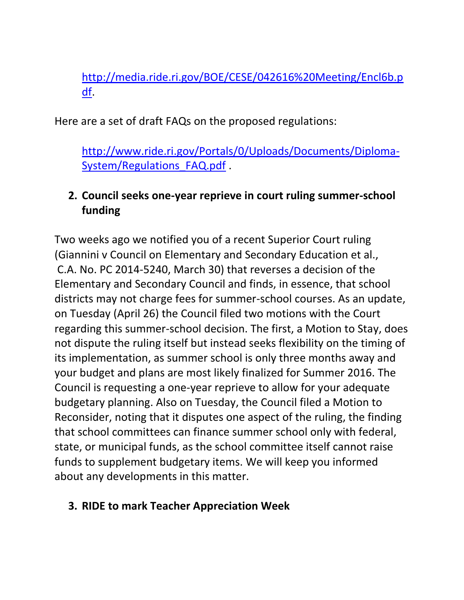[http://media.ride.ri.gov/BOE/CESE/042616%20Meeting/Encl6b.p](http://media.ride.ri.gov/BOE/CESE/042616%20Meeting/Encl6b.pdf) [df.](http://media.ride.ri.gov/BOE/CESE/042616%20Meeting/Encl6b.pdf)

Here are a set of draft FAQs on the proposed regulations:

[http://www.ride.ri.gov/Portals/0/Uploads/Documents/Diploma-](http://www.ride.ri.gov/Portals/0/Uploads/Documents/Diploma-System/Regulations_FAQ.pdf)System/Regulations FAQ.pdf.

## <span id="page-6-0"></span>**2. Council seeks one-year reprieve in court ruling summer-school funding**

Two weeks ago we notified you of a recent Superior Court ruling (Giannini v Council on Elementary and Secondary Education et al., C.A. No. PC 2014-5240, March 30) that reverses a decision of the Elementary and Secondary Council and finds, in essence, that school districts may not charge fees for summer-school courses. As an update, on Tuesday (April 26) the Council filed two motions with the Court regarding this summer-school decision. The first, a Motion to Stay, does not dispute the ruling itself but instead seeks flexibility on the timing of its implementation, as summer school is only three months away and your budget and plans are most likely finalized for Summer 2016. The Council is requesting a one-year reprieve to allow for your adequate budgetary planning. Also on Tuesday, the Council filed a Motion to Reconsider, noting that it disputes one aspect of the ruling, the finding that school committees can finance summer school only with federal, state, or municipal funds, as the school committee itself cannot raise funds to supplement budgetary items. We will keep you informed about any developments in this matter.

#### <span id="page-6-1"></span>**3. RIDE to mark Teacher Appreciation Week**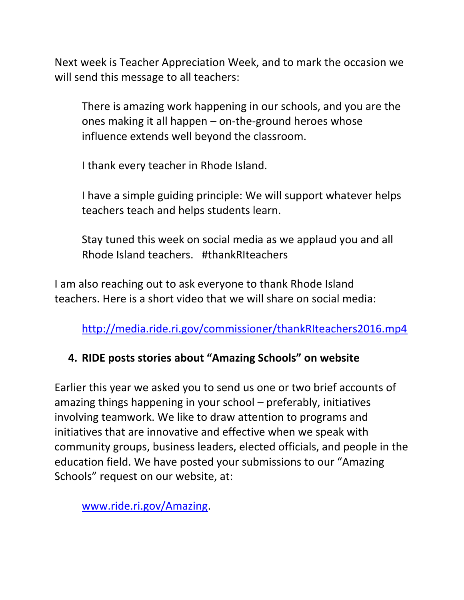Next week is Teacher Appreciation Week, and to mark the occasion we will send this message to all teachers:

There is amazing work happening in our schools, and you are the ones making it all happen – on-the-ground heroes whose influence extends well beyond the classroom.

I thank every teacher in Rhode Island.

I have a simple guiding principle: We will support whatever helps teachers teach and helps students learn.

Stay tuned this week on social media as we applaud you and all Rhode Island teachers. #thankRIteachers

I am also reaching out to ask everyone to thank Rhode Island teachers. Here is a short video that we will share on social media:

<http://media.ride.ri.gov/commissioner/thankRIteachers2016.mp4>

## <span id="page-7-0"></span>**4. RIDE posts stories about "Amazing Schools" on website**

Earlier this year we asked you to send us one or two brief accounts of amazing things happening in your school – preferably, initiatives involving teamwork. We like to draw attention to programs and initiatives that are innovative and effective when we speak with community groups, business leaders, elected officials, and people in the education field. We have posted your submissions to our "Amazing Schools" request on our website, at:

[www.ride.ri.gov/Amazing.](http://www.ride.ri.gov/Amazing)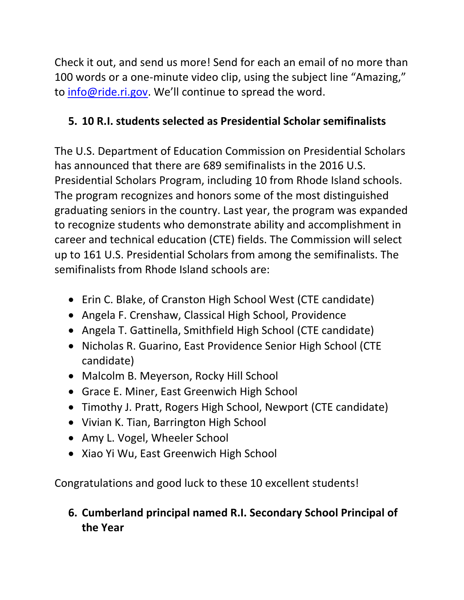Check it out, and send us more! Send for each an email of no more than 100 words or a one-minute video clip, using the subject line "Amazing," to [info@ride.ri.gov](mailto:info@ride.ri.gov). We'll continue to spread the word.

# **5. 10 R.I. students selected as Presidential Scholar semifinalists**

The U.S. Department of Education Commission on Presidential Scholars has announced that there are 689 semifinalists in the 2016 U.S. Presidential Scholars Program, including 10 from Rhode Island schools. The program recognizes and honors some of the most distinguished graduating seniors in the country. Last year, the program was expanded to recognize students who demonstrate ability and accomplishment in career and technical education (CTE) fields. The Commission will select up to 161 U.S. Presidential Scholars from among the semifinalists. The semifinalists from Rhode Island schools are:

- Erin C. Blake, of Cranston High School West (CTE candidate)
- Angela F. Crenshaw, Classical High School, Providence
- Angela T. Gattinella, Smithfield High School (CTE candidate)
- Nicholas R. Guarino, East Providence Senior High School (CTE candidate)
- Malcolm B. Meyerson, Rocky Hill School
- Grace E. Miner, East Greenwich High School
- Timothy J. Pratt, Rogers High School, Newport (CTE candidate)
- Vivian K. Tian, Barrington High School
- Amy L. Vogel, Wheeler School
- Xiao Yi Wu, East Greenwich High School

Congratulations and good luck to these 10 excellent students!

# <span id="page-8-0"></span>**6. Cumberland principal named R.I. Secondary School Principal of the Year**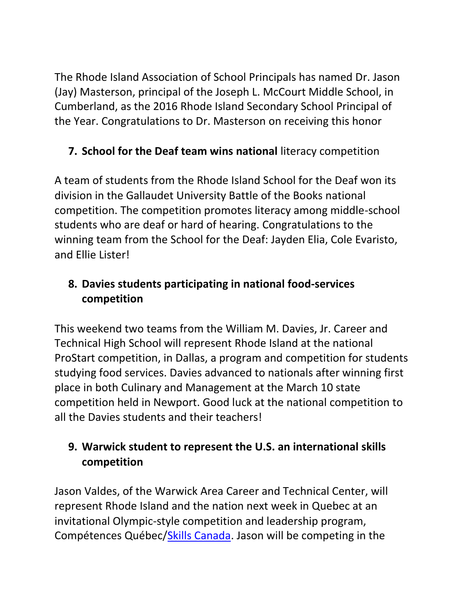<span id="page-9-0"></span>The Rhode Island Association of School Principals has named Dr. Jason (Jay) Masterson, principal of the Joseph L. McCourt Middle School, in Cumberland, as the 2016 Rhode Island Secondary School Principal of the Year. Congratulations to Dr. Masterson on receiving this honor

# **7. School for the Deaf team wins national** literacy competition

A team of students from the Rhode Island School for the Deaf won its division in the Gallaudet University Battle of the Books national competition. The competition promotes literacy among middle-school students who are deaf or hard of hearing. Congratulations to the winning team from the School for the Deaf: Jayden Elia, Cole Evaristo, and Ellie Lister!

# **8. Davies students participating in national food-services competition**

This weekend two teams from the William M. Davies, Jr. Career and Technical High School will represent Rhode Island at the national ProStart competition, in Dallas, a program and competition for students studying food services. Davies advanced to nationals after winning first place in both Culinary and Management at the March 10 state competition held in Newport. Good luck at the national competition to all the Davies students and their teachers!

# <span id="page-9-1"></span>**9. Warwick student to represent the U.S. an international skills competition**

Jason Valdes, of the Warwick Area Career and Technical Center, will represent Rhode Island and the nation next week in Quebec at an invitational Olympic-style competition and leadership program, Compétences Québec[/Skills Canada.](http://www.skillscanada.com/) Jason will be competing in the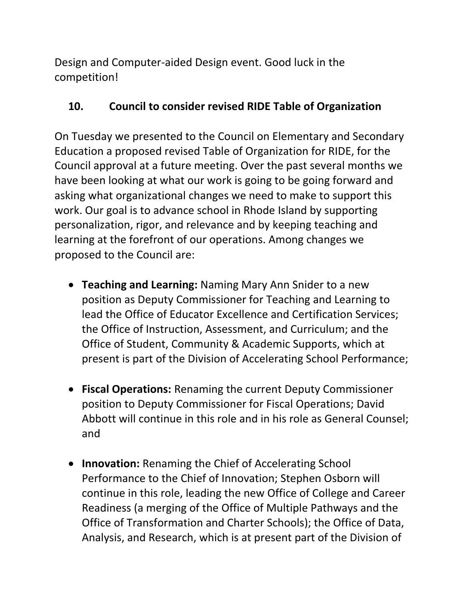Design and Computer-aided Design event. Good luck in the competition!

## **10. Council to consider revised RIDE Table of Organization**

On Tuesday we presented to the Council on Elementary and Secondary Education a proposed revised Table of Organization for RIDE, for the Council approval at a future meeting. Over the past several months we have been looking at what our work is going to be going forward and asking what organizational changes we need to make to support this work. Our goal is to advance school in Rhode Island by supporting personalization, rigor, and relevance and by keeping teaching and learning at the forefront of our operations. Among changes we proposed to the Council are:

- **Teaching and Learning:** Naming Mary Ann Snider to a new position as Deputy Commissioner for Teaching and Learning to lead the Office of Educator Excellence and Certification Services; the Office of Instruction, Assessment, and Curriculum; and the Office of Student, Community & Academic Supports, which at present is part of the Division of Accelerating School Performance;
- **Fiscal Operations:** Renaming the current Deputy Commissioner position to Deputy Commissioner for Fiscal Operations; David Abbott will continue in this role and in his role as General Counsel; and
- **Innovation:** Renaming the Chief of Accelerating School Performance to the Chief of Innovation; Stephen Osborn will continue in this role, leading the new Office of College and Career Readiness (a merging of the Office of Multiple Pathways and the Office of Transformation and Charter Schools); the Office of Data, Analysis, and Research, which is at present part of the Division of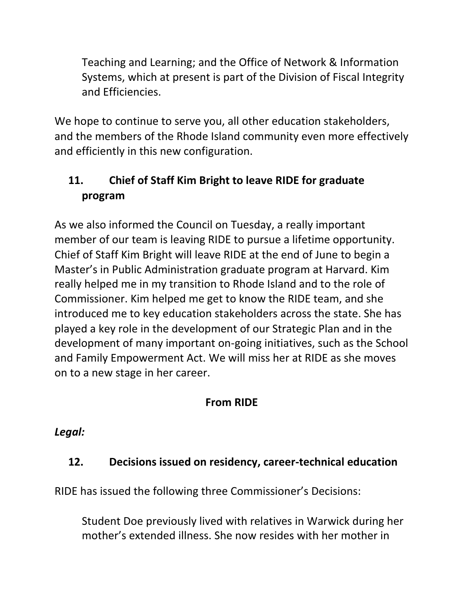Teaching and Learning; and the Office of Network & Information Systems, which at present is part of the Division of Fiscal Integrity and Efficiencies.

We hope to continue to serve you, all other education stakeholders, and the members of the Rhode Island community even more effectively and efficiently in this new configuration.

# <span id="page-11-0"></span>**11. Chief of Staff Kim Bright to leave RIDE for graduate program**

As we also informed the Council on Tuesday, a really important member of our team is leaving RIDE to pursue a lifetime opportunity. Chief of Staff Kim Bright will leave RIDE at the end of June to begin a Master's in Public Administration graduate program at Harvard. Kim really helped me in my transition to Rhode Island and to the role of Commissioner. Kim helped me get to know the RIDE team, and she introduced me to key education stakeholders across the state. She has played a key role in the development of our Strategic Plan and in the development of many important on-going initiatives, such as the School and Family Empowerment Act. We will miss her at RIDE as she moves on to a new stage in her career.

# **From RIDE**

# *Legal:*

# <span id="page-11-1"></span>**12. Decisions issued on residency, career-technical education**

RIDE has issued the following three Commissioner's Decisions:

Student Doe previously lived with relatives in Warwick during her mother's extended illness. She now resides with her mother in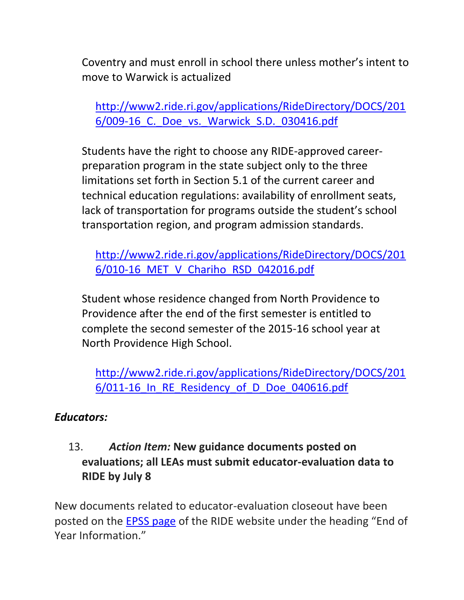Coventry and must enroll in school there unless mother's intent to move to Warwick is actualized

[http://www2.ride.ri.gov/applications/RideDirectory/DOCS/201](http://www2.ride.ri.gov/applications/RideDirectory/DOCS/2016/009-16_C._Doe_vs._Warwick_S.D._030416.pdf) [6/009-16\\_C.\\_Doe\\_vs.\\_Warwick\\_S.D.\\_030416.pdf](http://www2.ride.ri.gov/applications/RideDirectory/DOCS/2016/009-16_C._Doe_vs._Warwick_S.D._030416.pdf)

Students have the right to choose any RIDE-approved careerpreparation program in the state subject only to the three limitations set forth in Section 5.1 of the current career and technical education regulations: availability of enrollment seats, lack of transportation for programs outside the student's school transportation region, and program admission standards.

[http://www2.ride.ri.gov/applications/RideDirectory/DOCS/201](http://www2.ride.ri.gov/applications/RideDirectory/DOCS/2016/010-16_MET_V_Chariho_RSD_042016.pdf) [6/010-16\\_MET\\_V\\_Chariho\\_RSD\\_042016.pdf](http://www2.ride.ri.gov/applications/RideDirectory/DOCS/2016/010-16_MET_V_Chariho_RSD_042016.pdf)

Student whose residence changed from North Providence to Providence after the end of the first semester is entitled to complete the second semester of the 2015-16 school year at North Providence High School.

[http://www2.ride.ri.gov/applications/RideDirectory/DOCS/201](http://www2.ride.ri.gov/applications/RideDirectory/DOCS/2016/011-16_In_RE_Residency_of_D_Doe_040616.pdf) 6/011-16 In RE Residency of D Doe 040616.pdf

#### *Educators:*

## <span id="page-12-0"></span>13. *Action Item:* **New guidance documents posted on evaluations; all LEAs must submit educator-evaluation data to RIDE by July 8**

New documents related to educator-evaluation closeout have been posted on the [EPSS page](http://www.ride.ri.gov/TeachersAdministrators/EducatorEvaluation/EducatorPerformanceandSupportSystem(EPSS).aspx) of the RIDE website under the heading "End of Year Information."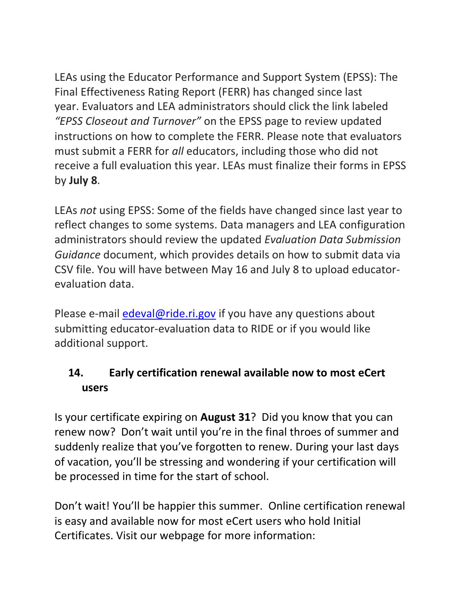LEAs using the Educator Performance and Support System (EPSS): The Final Effectiveness Rating Report (FERR) has changed since last year. Evaluators and LEA administrators should click the link labeled *"EPSS Closeout and Turnover"* on the EPSS page to review updated instructions on how to complete the FERR. Please note that evaluators must submit a FERR for *all* educators, including those who did not receive a full evaluation this year. LEAs must finalize their forms in EPSS by **July 8**.

LEAs *not* using EPSS: Some of the fields have changed since last year to reflect changes to some systems. Data managers and LEA configuration administrators should review the updated *Evaluation Data Submission Guidance* document, which provides details on how to submit data via CSV file. You will have between May 16 and July 8 to upload educatorevaluation data.

Please e-mail [edeval@ride.ri.gov](mailto:edeval@ride.ri.gov) if you have any questions about submitting educator-evaluation data to RIDE or if you would like additional support.

# **14. Early certification renewal available now to most eCert users**

Is your certificate expiring on **August 31**? Did you know that you can renew now? Don't wait until you're in the final throes of summer and suddenly realize that you've forgotten to renew. During your last days of vacation, you'll be stressing and wondering if your certification will be processed in time for the start of school.

Don't wait! You'll be happier this summer. Online certification renewal is easy and available now for most eCert users who hold Initial Certificates. Visit our webpage for more information: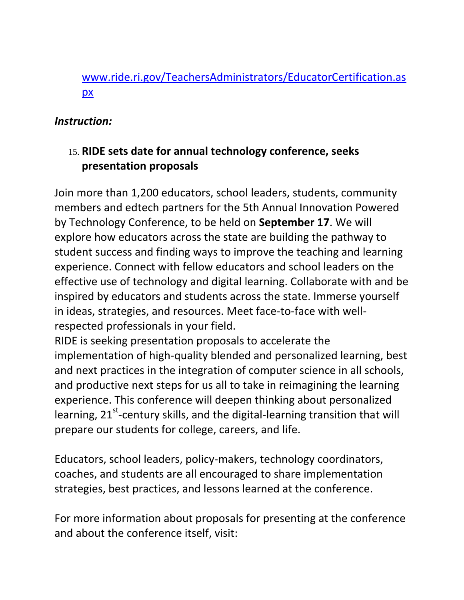## [www.ride.ri.gov/TeachersAdministrators/EducatorCertification.as](http://www.ride.ri.gov/TeachersAdministrators/EducatorCertification.aspx) [px](http://www.ride.ri.gov/TeachersAdministrators/EducatorCertification.aspx)

#### *Instruction:*

## <span id="page-14-0"></span>15. **RIDE sets date for annual technology conference, seeks presentation proposals**

Join more than 1,200 educators, school leaders, students, community members and edtech partners for the 5th Annual Innovation Powered by Technology Conference, to be held on **September 17**. We will explore how educators across the state are building the pathway to student success and finding ways to improve the teaching and learning experience. Connect with fellow educators and school leaders on the effective use of technology and digital learning. Collaborate with and be inspired by educators and students across the state. Immerse yourself in ideas, strategies, and resources. Meet face-to-face with wellrespected professionals in your field.

RIDE is seeking presentation proposals to accelerate the implementation of high-quality blended and personalized learning, best and next practices in the integration of computer science in all schools, and productive next steps for us all to take in reimagining the learning experience. This conference will deepen thinking about personalized learning, 21<sup>st</sup>-century skills, and the digital-learning transition that will prepare our students for college, careers, and life.

Educators, school leaders, policy-makers, technology coordinators, coaches, and students are all encouraged to share implementation strategies, best practices, and lessons learned at the conference.

For more information about proposals for presenting at the conference and about the conference itself, visit: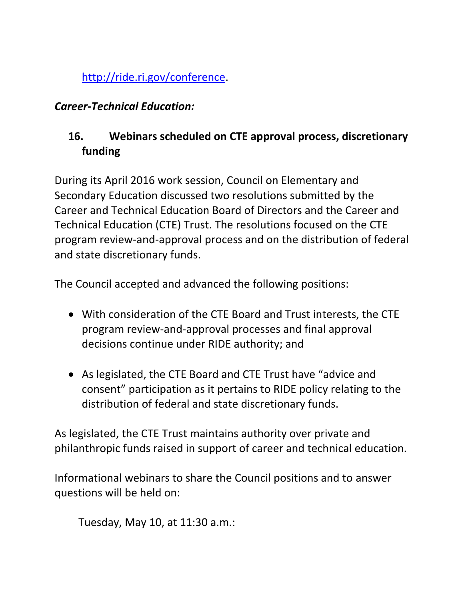[http://ride.ri.gov/conference.](http://ride.ri.gov/conference)

### *Career-Technical Education:*

# <span id="page-15-0"></span>**16. Webinars scheduled on CTE approval process, discretionary funding**

During its April 2016 work session, Council on Elementary and Secondary Education discussed two resolutions submitted by the Career and Technical Education Board of Directors and the Career and Technical Education (CTE) Trust. The resolutions focused on the CTE program review-and-approval process and on the distribution of federal and state discretionary funds.

The Council accepted and advanced the following positions:

- With consideration of the CTE Board and Trust interests, the CTE program review-and-approval processes and final approval decisions continue under RIDE authority; and
- As legislated, the CTE Board and CTE Trust have "advice and consent" participation as it pertains to RIDE policy relating to the distribution of federal and state discretionary funds.

As legislated, the CTE Trust maintains authority over private and philanthropic funds raised in support of career and technical education.

Informational webinars to share the Council positions and to answer questions will be held on:

Tuesday, May 10, at 11:30 a.m.: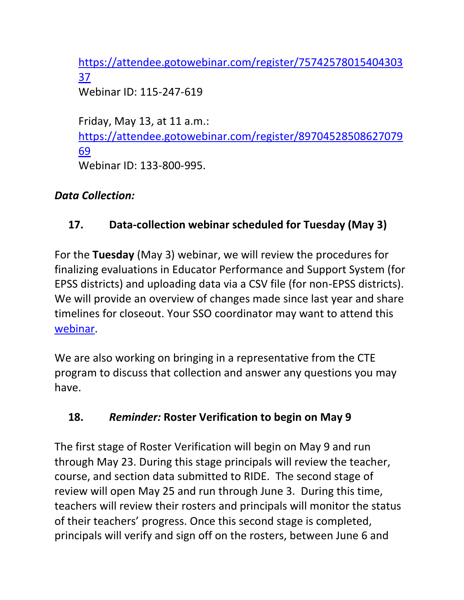[https://attendee.gotowebinar.com/register/75742578015404303](https://attendee.gotowebinar.com/register/7574257801540430337) [37](https://attendee.gotowebinar.com/register/7574257801540430337) Webinar ID: 115-247-619

Friday, May 13, at 11 a.m.: [https://attendee.gotowebinar.com/register/89704528508627079](https://attendee.gotowebinar.com/register/8970452850862707969) [69](https://attendee.gotowebinar.com/register/8970452850862707969) Webinar ID: 133-800-995.

#### *Data Collection:*

## <span id="page-16-0"></span>**17. Data-collection webinar scheduled for Tuesday (May 3)**

For the **Tuesday** (May 3) webinar, we will review the procedures for finalizing evaluations in Educator Performance and Support System (for EPSS districts) and uploading data via a CSV file (for non-EPSS districts). We will provide an overview of changes made since last year and share timelines for closeout. Your SSO coordinator may want to attend this [webinar.](https://attendee.gotowebinar.com/register/1244693710129866241)

We are also working on bringing in a representative from the CTE program to discuss that collection and answer any questions you may have.

# <span id="page-16-1"></span>**18.** *Reminder:* **Roster Verification to begin on May 9**

The first stage of Roster Verification will begin on May 9 and run through May 23. During this stage principals will review the teacher, course, and section data submitted to RIDE. The second stage of review will open May 25 and run through June 3. During this time, teachers will review their rosters and principals will monitor the status of their teachers' progress. Once this second stage is completed, principals will verify and sign off on the rosters, between June 6 and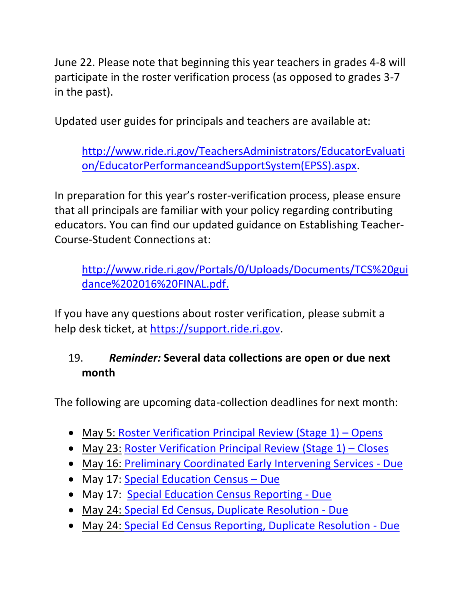June 22. Please note that beginning this year teachers in grades 4-8 will participate in the roster verification process (as opposed to grades 3-7 in the past).

Updated user guides for principals and teachers are available at:

[http://www.ride.ri.gov/TeachersAdministrators/EducatorEvaluati](http://www.ride.ri.gov/TeachersAdministrators/EducatorEvaluation/EducatorPerformanceandSupportSystem(EPSS).aspx) [on/EducatorPerformanceandSupportSystem\(EPSS\).aspx.](http://www.ride.ri.gov/TeachersAdministrators/EducatorEvaluation/EducatorPerformanceandSupportSystem(EPSS).aspx)

In preparation for this year's roster-verification process, please ensure that all principals are familiar with your policy regarding contributing educators. You can find our updated guidance on Establishing Teacher-Course-Student Connections at:

[http://www.ride.ri.gov/Portals/0/Uploads/Documents/TCS%20gui](http://www.ride.ri.gov/Portals/0/Uploads/Documents/TCS%20guidance%202016%20FINAL.pdf) [dance%202016%20FINAL.pdf.](http://www.ride.ri.gov/Portals/0/Uploads/Documents/TCS%20guidance%202016%20FINAL.pdf)

If you have any questions about roster verification, please submit a help desk ticket, at [https://support.ride.ri.gov.](https://support.ride.ri.gov/)

## <span id="page-17-0"></span>19. *Reminder:* **Several data collections are open or due next month**

The following are upcoming data-collection deadlines for next month:

- May 5: [Roster Verification Principal Review \(Stage 1\)](http://www.ride.ri.gov/TeachersAdministrators/EducatorEvaluation/EducatorPerformanceandSupportSystem(EPSS).aspx)  Opens
- May 23: [Roster Verification Principal Review \(Stage 1\)](http://www.ride.ri.gov/TeachersAdministrators/EducatorEvaluation/EducatorPerformanceandSupportSystem(EPSS).aspx)  Closes
- May 16: [Preliminary Coordinated Early Intervening Services -](https://www.eride.ri.gov/eRide40/DataDictionary/ViewDetails.aspx?ID=283) Due
- May 17: [Special Education Census](https://www.eride.ri.gov/eRide40/DataDictionary/ViewDetails.aspx?ID=311)  Due
- May 17: [Special Education Census Reporting -](https://www.eride.ri.gov/eRide40/DataDictionary/ViewDetails.aspx?ID=310) Due
- May 24: [Special Ed Census, Duplicate Resolution -](https://www.eride.ri.gov/eRide40/DataDictionary/ViewDetails.aspx?ID=310) Due
- May 24: [Special Ed Census Reporting, Duplicate Resolution -](https://www.eride.ri.gov/eRide40/DataDictionary/ViewDetails.aspx?ID=311) Due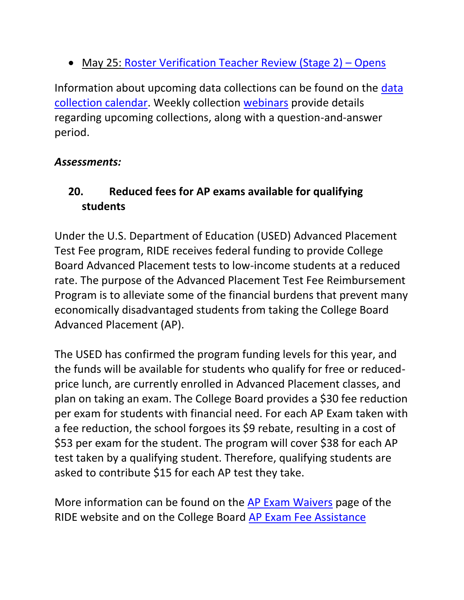• May 25: [Roster Verification Teacher Review \(Stage 2\)](http://www.ride.ri.gov/TeachersAdministrators/EducatorEvaluation/EducatorPerformanceandSupportSystem(EPSS).aspx) - Opens

Information about upcoming data collections can be found on the [data](https://www.eride.ri.gov/eRide40/DataDictionary/Calendar.aspx)  [collection calendar.](https://www.eride.ri.gov/eRide40/DataDictionary/Calendar.aspx) Weekly collection [webinars](https://attendee.gotowebinar.com/register/1244693710129866241) provide details regarding upcoming collections, along with a question-and-answer period.

### *Assessments:*

## <span id="page-18-0"></span>**20. Reduced fees for AP exams available for qualifying students**

Under the U.S. Department of Education (USED) Advanced Placement Test Fee program, RIDE receives federal funding to provide College Board Advanced Placement tests to low-income students at a reduced rate. The purpose of the Advanced Placement Test Fee Reimbursement Program is to alleviate some of the financial burdens that prevent many economically disadvantaged students from taking the College Board Advanced Placement (AP).

The USED has confirmed the program funding levels for this year, and the funds will be available for students who qualify for free or reducedprice lunch, are currently enrolled in Advanced Placement classes, and plan on taking an exam. The College Board provides a \$30 fee reduction per exam for students with financial need. For each AP Exam taken with a fee reduction, the school forgoes its \$9 rebate, resulting in a cost of \$53 per exam for the student. The program will cover \$38 for each AP test taken by a qualifying student. Therefore, qualifying students are asked to contribute \$15 for each AP test they take.

More information can be found on the [AP Exam Waivers](http://www.ride.ri.gov/InstructionAssessment/Assessment/APExamWaivers.aspx) page of the RIDE website and on the College Board [AP Exam Fee Assistance](https://professionals.collegeboard.org/testing/ap/coordinate/details-state)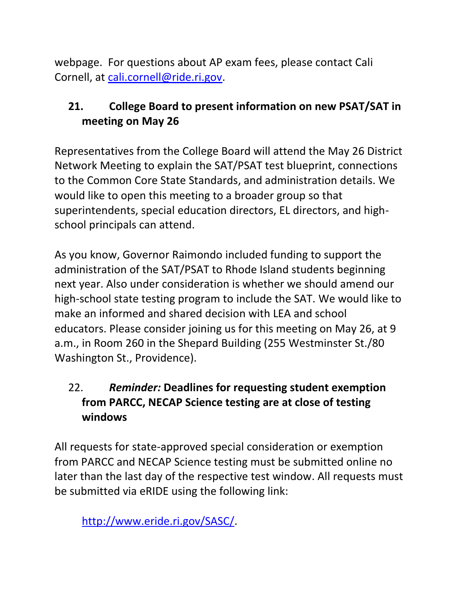webpage. For questions about AP exam fees, please contact Cali Cornell, at [cali.cornell@ride.ri.gov.](mailto:cali.cornell@ride.ri.gov)

# <span id="page-19-0"></span>**21. College Board to present information on new PSAT/SAT in meeting on May 26**

Representatives from the College Board will attend the May 26 District Network Meeting to explain the SAT/PSAT test blueprint, connections to the Common Core State Standards, and administration details. We would like to open this meeting to a broader group so that superintendents, special education directors, EL directors, and highschool principals can attend.

As you know, Governor Raimondo included funding to support the administration of the SAT/PSAT to Rhode Island students beginning next year. Also under consideration is whether we should amend our high-school state testing program to include the SAT. We would like to make an informed and shared decision with LEA and school educators. Please consider joining us for this meeting on May 26, at 9 a.m., in Room 260 in the Shepard Building (255 Westminster St./80 Washington St., Providence).

# <span id="page-19-1"></span>22. *Reminder:* **Deadlines for requesting student exemption from PARCC, NECAP Science testing are at close of testing windows**

All requests for state-approved special consideration or exemption from PARCC and NECAP Science testing must be submitted online no later than the last day of the respective test window. All requests must be submitted via eRIDE using the following link:

[http://www.eride.ri.gov/SASC/.](http://www.eride.ri.gov/SASC/)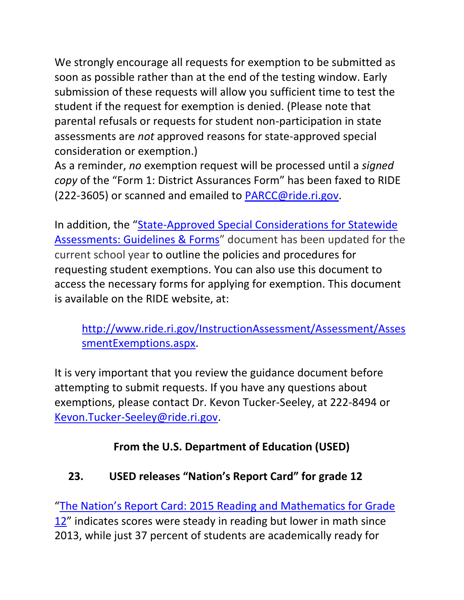We strongly encourage all requests for exemption to be submitted as soon as possible rather than at the end of the testing window. Early submission of these requests will allow you sufficient time to test the student if the request for exemption is denied. (Please note that parental refusals or requests for student non-participation in state assessments are *not* approved reasons for state-approved special consideration or exemption.)

As a reminder, *no* exemption request will be processed until a *signed copy* of the "Form 1: District Assurances Form" has been faxed to RIDE (222-3605) or scanned and emailed to [PARCC@ride.ri.gov.](mailto:PARCC@ride.ri.gov)

In addition, the "[State-Approved Special Considerations for Statewide](http://www.ride.ri.gov/InstructionAssessment/Assessment/AssessmentExemptions.aspx)  [Assessments: Guidelines & Forms](http://www.ride.ri.gov/InstructionAssessment/Assessment/AssessmentExemptions.aspx)" document has been updated for the current school year to outline the policies and procedures for requesting student exemptions. You can also use this document to access the necessary forms for applying for exemption. This document is available on the RIDE website, at:

[http://www.ride.ri.gov/InstructionAssessment/Assessment/Asses](http://www.ride.ri.gov/InstructionAssessment/Assessment/AssessmentExemptions.aspx) [smentExemptions.aspx.](http://www.ride.ri.gov/InstructionAssessment/Assessment/AssessmentExemptions.aspx)

It is very important that you review the guidance document before attempting to submit requests. If you have any questions about exemptions, please contact Dr. Kevon Tucker-Seeley, at 222-8494 or [Kevon.Tucker-Seeley@ride.ri.gov.](mailto:Kevon.Tucker-Seeley@ride.ri.gov)

## **From the U.S. Department of Education (USED)**

## <span id="page-20-0"></span>**23. USED releases "Nation's Report Card" for grade 12**

"The Nation's Re[port Card: 2015 Reading and Mathematics for Grade](http://www.nationsreportcard.gov/reading_math_g12_2015/)  [12](http://www.nationsreportcard.gov/reading_math_g12_2015/)" indicates scores were steady in reading but lower in math since 2013, while just 37 percent of students are academically ready for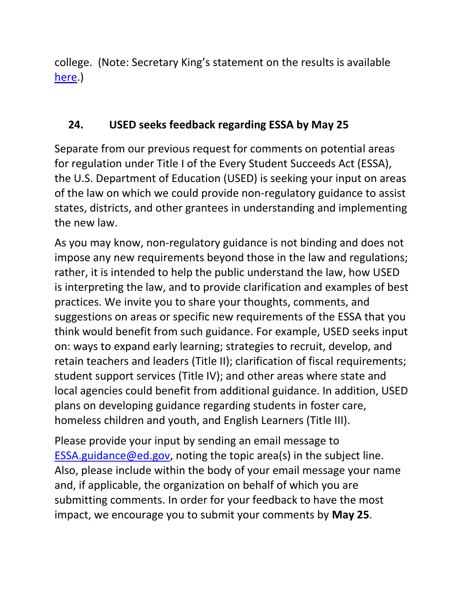college. (Note: Secretary King's statement on the results is available [here.](http://www.ed.gov/news/press-releases/statement-us-secretary-education-john-b-king-jr-national-assessment-educational-progress))

## **24. USED seeks feedback regarding ESSA by May 25**

Separate from our previous request for comments on potential areas for regulation under Title I of the Every Student Succeeds Act (ESSA), the U.S. Department of Education (USED) is seeking your input on areas of the law on which we could provide non-regulatory guidance to assist states, districts, and other grantees in understanding and implementing the new law.

As you may know, non-regulatory guidance is not binding and does not impose any new requirements beyond those in the law and regulations; rather, it is intended to help the public understand the law, how USED is interpreting the law, and to provide clarification and examples of best practices. We invite you to share your thoughts, comments, and suggestions on areas or specific new requirements of the ESSA that you think would benefit from such guidance. For example, USED seeks input on: ways to expand early learning; strategies to recruit, develop, and retain teachers and leaders (Title II); clarification of fiscal requirements; student support services (Title IV); and other areas where state and local agencies could benefit from additional guidance. In addition, USED plans on developing guidance regarding students in foster care, homeless children and youth, and English Learners (Title III).

Please provide your input by sending an email message to [ESSA.guidance@ed.gov,](mailto:ESSA.guidance@ed.gov) noting the topic area(s) in the subject line. Also, please include within the body of your email message your name and, if applicable, the organization on behalf of which you are submitting comments. In order for your feedback to have the most impact, we encourage you to submit your comments by **May 25**.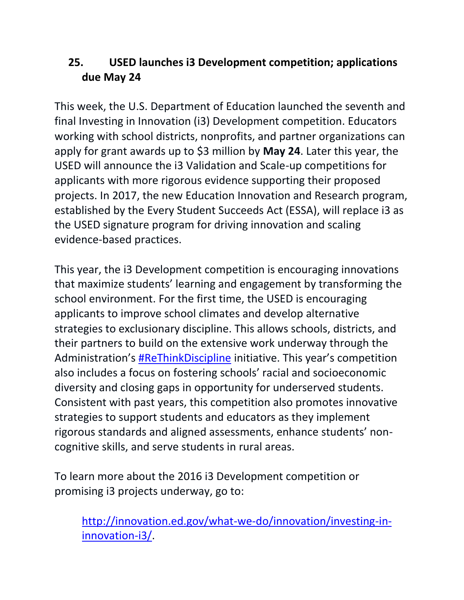# <span id="page-22-0"></span>**25. USED launches i3 Development competition; applications due May 24**

This week, the U.S. Department of Education launched the seventh and final Investing in Innovation (i3) Development competition. Educators working with school districts, nonprofits, and partner organizations can apply for grant awards up to \$3 million by **May 24**. Later this year, the USED will announce the i3 Validation and Scale-up competitions for applicants with more rigorous evidence supporting their proposed projects. In 2017, the new Education Innovation and Research program, established by the Every Student Succeeds Act (ESSA), will replace i3 as the USED signature program for driving innovation and scaling evidence-based practices.

This year, the i3 Development competition is encouraging innovations that maximize students' learning and engagement by transforming the school environment. For the first time, the USED is encouraging applicants to improve school climates and develop alternative strategies to exclusionary discipline. This allows schools, districts, and their partners to build on the extensive work underway through the Administration's [#ReThinkDiscipline](http://www2.ed.gov/policy/gen/guid/school-discipline/index.html) initiative. This year's competition also includes a focus on fostering schools' racial and socioeconomic diversity and closing gaps in opportunity for underserved students. Consistent with past years, this competition also promotes innovative strategies to support students and educators as they implement rigorous standards and aligned assessments, enhance students' noncognitive skills, and serve students in rural areas.

To learn more about the 2016 i3 Development competition or promising i3 projects underway, go to:

[http://innovation.ed.gov/what-we-do/innovation/investing-in](http://innovation.ed.gov/what-we-do/innovation/investing-in-innovation-i3/)[innovation-i3/.](http://innovation.ed.gov/what-we-do/innovation/investing-in-innovation-i3/)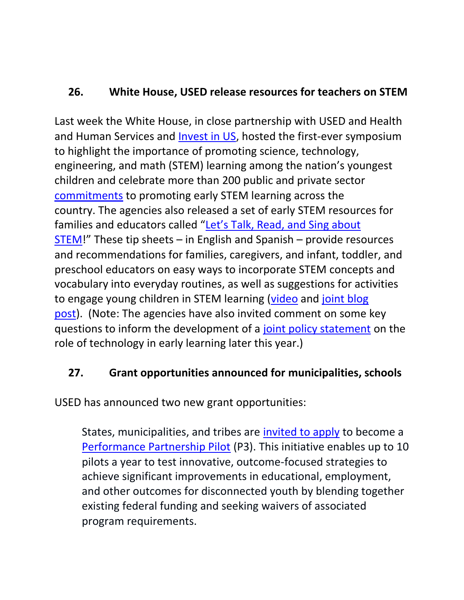## <span id="page-23-0"></span>**26. White House, USED release resources for teachers on STEM**

Last week the White House, in close partnership with USED and Health and Human Services and [Invest in US,](https://investinus.org/) hosted the first-ever symposium to highlight the importance of promoting science, technology, engineering, and math (STEM) learning among the nation's youngest children and celebrate more than 200 public and private sector [commitments](https://www.whitehouse.gov/the-press-office/2016/04/21/fact-sheet-advancing-active-stem-education-our-youngest-learners) to promoting early STEM learning across the country. The agencies also released a set of early STEM resources for families and educators called ["Let's Talk, Read, and Sing about](http://www2.ed.gov/about/inits/ed/earlylearning/talk-read-sing/index.html)  [STEM](http://www2.ed.gov/about/inits/ed/earlylearning/talk-read-sing/index.html)!" These tip sheets – in English and Spanish – provide resources and recommendations for families, caregivers, and infant, toddler, and preschool educators on easy ways to incorporate STEM concepts and vocabulary into everyday routines, as well as suggestions for activities to engage young children in STEM learning [\(video](https://www.youtube.com/watch?v=iUvEks2tutw) and [joint blog](https://content.govdelivery.com/accounts/USED/bulletins/14490f0)  [post\)](https://content.govdelivery.com/accounts/USED/bulletins/14490f0). (Note: The agencies have also invited comment on some key questions to inform the development of a [joint policy statement](http://sites.ed.gov/oese/2016/04/open-discussion-on-the-role-of-education-technologies-in-early-childhood-stem-education/) on the role of technology in early learning later this year.)

## <span id="page-23-1"></span>**27. Grant opportunities announced for municipalities, schools**

USED has announced two new grant opportunities:

States, municipalities, and tribes are [invited to apply](https://www.federalregister.gov/articles/2016/04/26/2016-09748/applications-for-new-awards-performance-partnership-pilots) to become a [Performance Partnership Pilot](http://youth.gov/youth-topics/reconnecting-youth/performance-partnership-pilots) (P3). This initiative enables up to 10 pilots a year to test innovative, outcome-focused strategies to achieve significant improvements in educational, employment, and other outcomes for disconnected youth by blending together existing federal funding and seeking waivers of associated program requirements.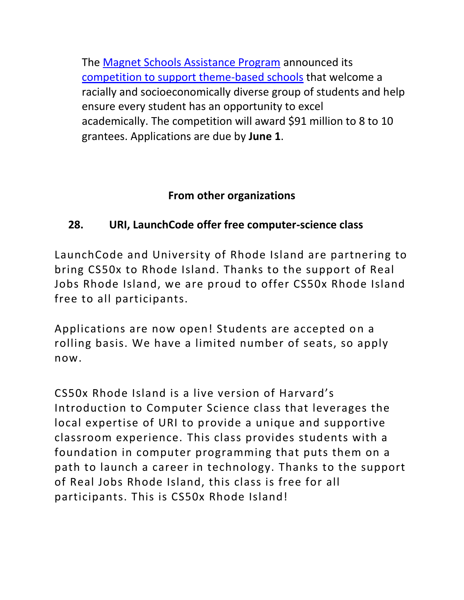The [Magnet Schools Assistance Program](http://innovation.ed.gov/what-we-do/parental-options/magnet-school-assistance-program-msap/) announced its [competition to support theme-based schools](https://www.gpo.gov/fdsys/pkg/FR-2016-04-22/pdf/2016-09437.pdf) that welcome a racially and socioeconomically diverse group of students and help ensure every student has an opportunity to excel academically. The competition will award \$91 million to 8 to 10 grantees. Applications are due by **June 1**.

### **From other organizations**

## <span id="page-24-0"></span>**28. URI, LaunchCode offer free computer-science class**

LaunchCode and University of Rhode Island are partnering to bring CS50x to Rhode Island. Thanks to the support of Real Jobs Rhode Island, we are proud to offer CS50x Rhode Island free to all participants.

Applications are now open! Students are accepted on a rolling basis. We have a limited number of seats, so apply now.

CS50x Rhode Island is a live version of Harvard's Introduction to Computer Science class that leverages the local expertise of URI to provide a unique and supportive classroom experience. This class provides students with a foundation in computer programming that puts them on a path to launch a career in technology. Thanks to the support of Real Jobs Rhode Island, this class is free for all participants. This is CS50x Rhode Island!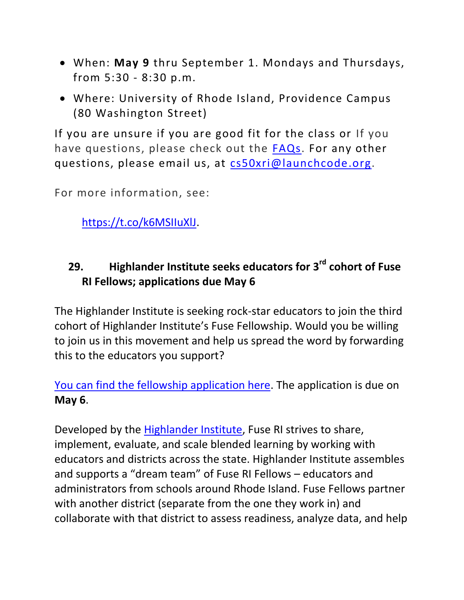- When: **May 9** thru September 1. Mondays and Thursdays, from 5:30 - 8:30 p.m.
- Where: University of Rhode Island, Providence Campus (80 Washington Street)

If you are unsure if you are good fit for the class or If you have questions, please check out the [FAQs.](https://www.launchcode.org/cs50x?utm_source=Partner&utm_medium=Email&utm_campaign=Partner:%20Opportunity@Work#cs50-faqs) For any other questions, please email us, at [cs50xri@launchcode.org.](mailto:cs50xri@launchcode.org)

For more information, see:

[https://t.co/k6MSIIuXlJ.](https://t.co/k6MSIIuXlJ)

# <span id="page-25-0"></span>**29. Highlander Institute seeks educators for 3rd cohort of Fuse RI Fellows; applications due May 6**

The Highlander Institute is seeking rock-star educators to join the third cohort of Highlander Institute's Fuse Fellowship. Would you be willing to join us in this movement and help us spread the word by forwarding this to the educators you support?

[You can find the fellowship application here.](http://fuseri.highlanderinstitute.org/fuse-fellow-application) The application is due on **May 6**.

Developed by the [Highlander Institute,](http://www.highlanderinstitute.org/) Fuse RI strives to share, implement, evaluate, and scale blended learning by working with educators and districts across the state. Highlander Institute assembles and supports a "dream team" of Fuse RI Fellows – educators and administrators from schools around Rhode Island. Fuse Fellows partner with another district (separate from the one they work in) and collaborate with that district to assess readiness, analyze data, and help